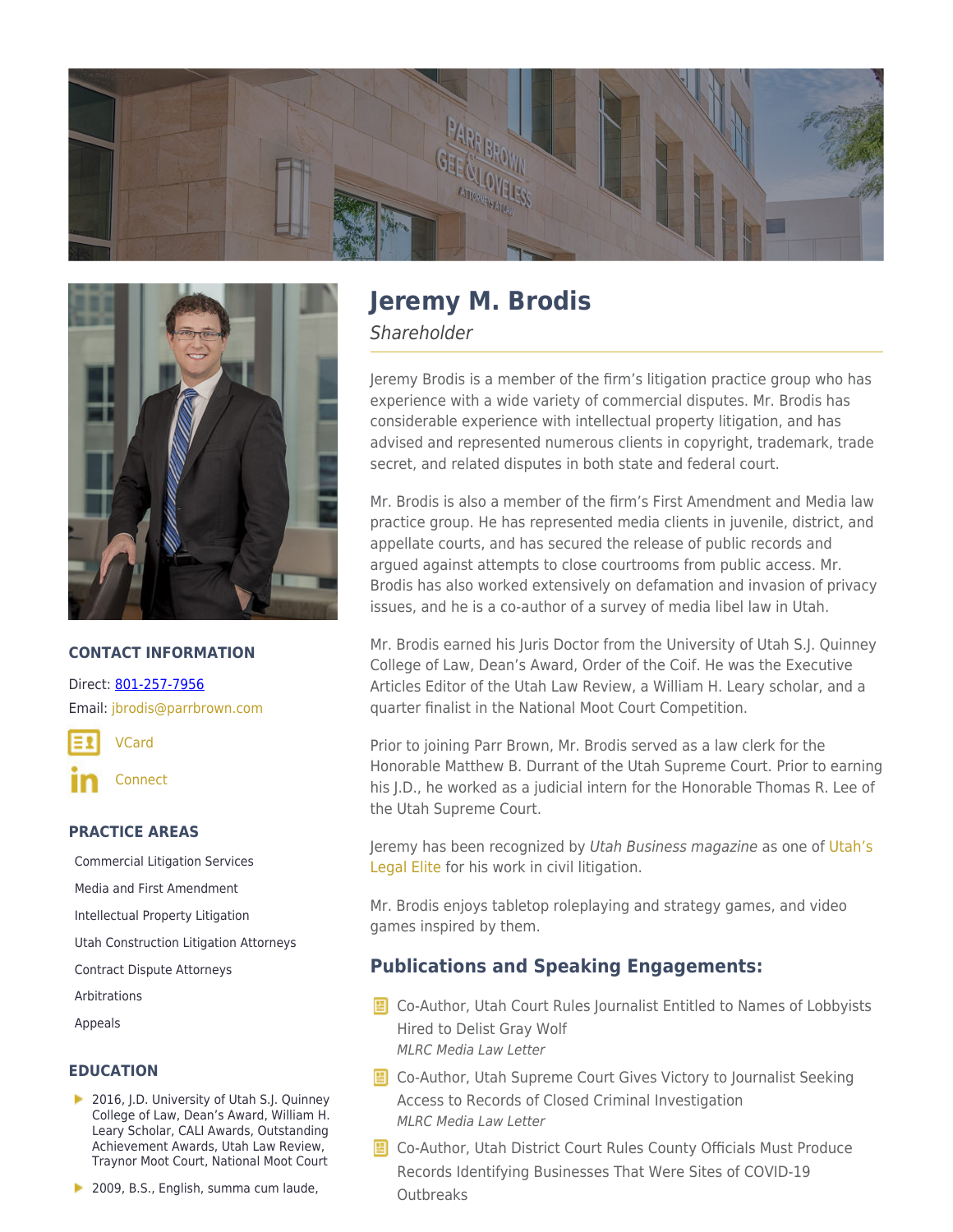



## **CONTACT INFORMATION**

Direct: [801-257-7956](https://parrbrown.com/tel:1-801-257-7956) Email: [jbrodis@parrbrown.com](mailto:jbrodis@parrbrown.com)

[VCard](https://parrbrown.com/wp-content/uploads/2018/02/Jeremy-M.-Brodis-1.vcf)

[Connect](https://www.linkedin.com/in/jeremy-brodis-ab67351a/)

### **PRACTICE AREAS**

[Commercial Litigation Services](https://parrbrown.com/services/commercial-litigation/) [Media and First Amendment](https://parrbrown.com/services/commercial-litigation/media-and-first-amendment/) [Intellectual Property Litigation](https://parrbrown.com/services/commercial-litigation/intellectual-property-litigation/) [Utah Construction Litigation Attorneys](https://parrbrown.com/services/commercial-litigation/construction-litigation/) [Contract Dispute Attorneys](https://parrbrown.com/services/commercial-litigation/contract-disputes/) [Arbitrations](https://parrbrown.com/services/commercial-litigation/arbitrations/) [Appeals](https://parrbrown.com/services/commercial-litigation/appeals/)

## **EDUCATION**

- ▶ 2016, J.D. University of Utah S.J. Quinney College of Law, Dean's Award, William H. Leary Scholar, CALI Awards, Outstanding Achievement Awards, Utah Law Review, Traynor Moot Court, National Moot Court
- 2009, B.S., English, summa cum laude,

# **Jeremy M. Brodis**

Shareholder

Jeremy Brodis is a member of the firm's litigation practice group who has experience with a wide variety of commercial disputes. Mr. Brodis has considerable experience with intellectual property litigation, and has advised and represented numerous clients in copyright, trademark, trade secret, and related disputes in both state and federal court.

Mr. Brodis is also a member of the firm's First Amendment and Media law practice group. He has represented media clients in juvenile, district, and appellate courts, and has secured the release of public records and argued against attempts to close courtrooms from public access. Mr. Brodis has also worked extensively on defamation and invasion of privacy issues, and he is a co-author of a survey of media libel law in Utah.

Mr. Brodis earned his Juris Doctor from the University of Utah S.J. Quinney College of Law, Dean's Award, Order of the Coif. He was the Executive Articles Editor of the Utah Law Review, a William H. Leary scholar, and a quarter finalist in the National Moot Court Competition.

Prior to joining Parr Brown, Mr. Brodis served as a law clerk for the Honorable Matthew B. Durrant of the Utah Supreme Court. Prior to earning his J.D., he worked as a judicial intern for the Honorable Thomas R. Lee of the Utah Supreme Court.

Jeremy has been recognized by Utah Business magazine as one of [Utah's](https://www.utahbusiness.com/meet-the-2022-legal-elite/) [Legal Elite](https://www.utahbusiness.com/meet-the-2022-legal-elite/) for his work in civil litigation.

Mr. Brodis enjoys tabletop roleplaying and strategy games, and video games inspired by them.

## **Publications and Speaking Engagements:**

- **E** Co-Author, Utah Court Rules Journalist Entitled to Names of Lobbyists Hired to Delist Gray Wolf MLRC Media Law Letter
- **E** Co-Author, Utah Supreme Court Gives Victory to Journalist Seeking Access to Records of Closed Criminal Investigation MLRC Media Law Letter
- **E** Co-Author, Utah District Court Rules County Officials Must Produce Records Identifying Businesses That Were Sites of COVID-19 **Outbreaks**